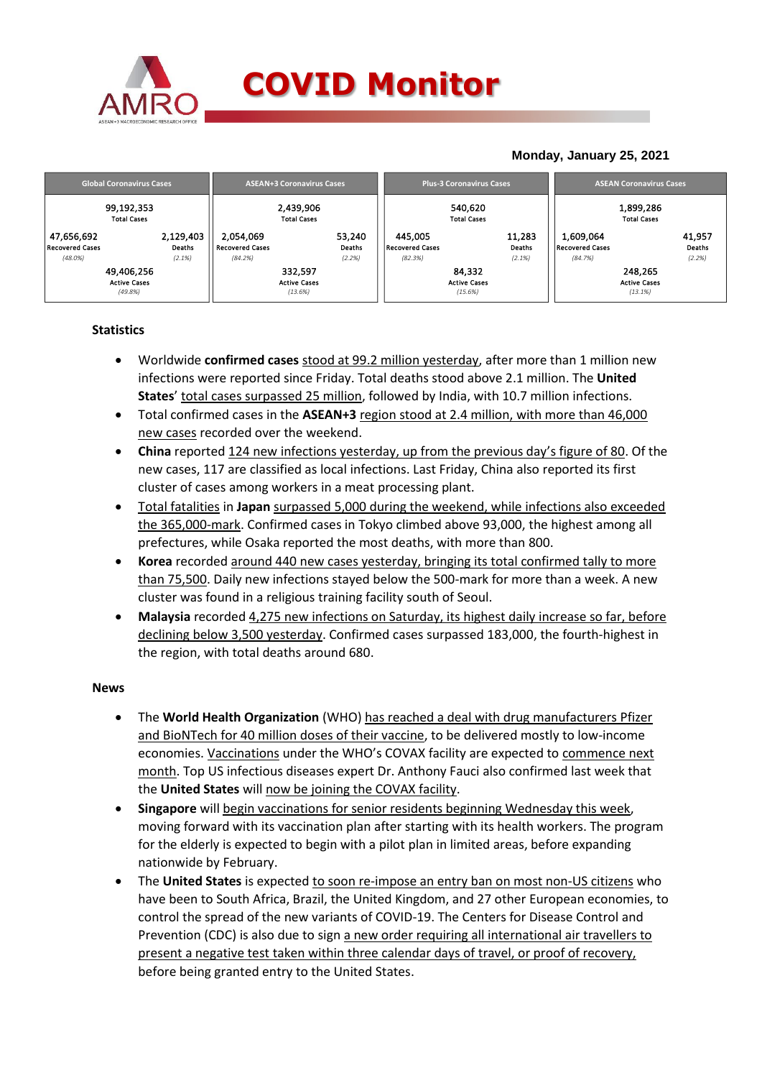

## **COVID Monitor**

### **Monday, January 25, 2021**

| <b>Global Coronavirus Cases</b>      |                     |                              | <b>ASEAN+3 Coronavirus Cases</b> |                                   | <b>Plus-3 Coronavirus Cases</b> |                  | <b>ASEAN Coronavirus Cases</b>      |                                |                  |  |
|--------------------------------------|---------------------|------------------------------|----------------------------------|-----------------------------------|---------------------------------|------------------|-------------------------------------|--------------------------------|------------------|--|
| 99,192,353<br><b>Total Cases</b>     |                     |                              | 2,439,906<br><b>Total Cases</b>  | 540,620<br><b>Total Cases</b>     |                                 |                  | 1,899,286<br><b>Total Cases</b>     |                                |                  |  |
| 47,656,692<br><b>Recovered Cases</b> | 2,129,403<br>Deaths | 2.054.069<br>Recovered Cases | 53,240<br>Deaths                 | 445.005<br><b>Recovered Cases</b> |                                 | 11,283<br>Deaths | 1,609,064<br><b>Recovered Cases</b> |                                | 41,957<br>Deaths |  |
| $(48.0\%)$                           | (2.1%)              | (84.2%)                      | (2.2%)                           | (82.3%)                           |                                 | (2.1%)           | (84.7%)                             |                                | (2.2%)           |  |
| 49,406,256                           |                     |                              | 332,597                          |                                   | 84,332                          |                  |                                     | 248,265                        |                  |  |
| <b>Active Cases</b><br>(49.8%)       |                     |                              | <b>Active Cases</b><br>(13.6%)   |                                   | <b>Active Cases</b><br>(15.6%)  |                  |                                     | <b>Active Cases</b><br>(13.1%) |                  |  |

#### **Statistics**

- Worldwide **confirmed cases** stood at 99.2 million yesterday, after more than 1 million new infections were reported since Friday. Total deaths stood above 2.1 million. The **United States**' total cases surpassed 25 million, followed by India, with 10.7 million infections.
- Total confirmed cases in the **ASEAN+3** region stood at 2.4 million, with more than 46,000 new cases recorded over the weekend.
- **China** reported 124 new infections yesterday, up from the previous day's figure of 80. Of the new cases, 117 are classified as local infections. Last Friday, China also reported its first cluster of cases among workers in a meat processing plant.
- Total fatalities in **Japan** surpassed 5,000 during the weekend, while infections also exceeded the 365,000-mark. Confirmed cases in Tokyo climbed above 93,000, the highest among all prefectures, while Osaka reported the most deaths, with more than 800.
- **Korea** recorded around 440 new cases yesterday, bringing its total confirmed tally to more than 75,500. Daily new infections stayed below the 500-mark for more than a week. A new cluster was found in a religious training facility south of Seoul.
- **Malaysia** recorded 4,275 new infections on Saturday, its highest daily increase so far, before declining below 3,500 yesterday. Confirmed cases surpassed 183,000, the fourth-highest in the region, with total deaths around 680.

#### **News**

- The **World Health Organization** (WHO) has reached a deal with drug manufacturers Pfizer and BioNTech for 40 million doses of their vaccine, to be delivered mostly to low-income economies. Vaccinations under the WHO's COVAX facility are expected to commence next month. Top US infectious diseases expert Dr. Anthony Fauci also confirmed last week that the **United States** will now be joining the COVAX facility.
- **Singapore** will begin vaccinations for senior residents beginning Wednesday this week, moving forward with its vaccination plan after starting with its health workers. The program for the elderly is expected to begin with a pilot plan in limited areas, before expanding nationwide by February.
- The **United States** is expected to soon re-impose an entry ban on most non-US citizens who have been to South Africa, Brazil, the United Kingdom, and 27 other European economies, to control the spread of the new variants of COVID-19. The Centers for Disease Control and Prevention (CDC) is also due to sign a new order requiring all international air travellers to present a negative test taken within three calendar days of travel, or proof of recovery, before being granted entry to the United States.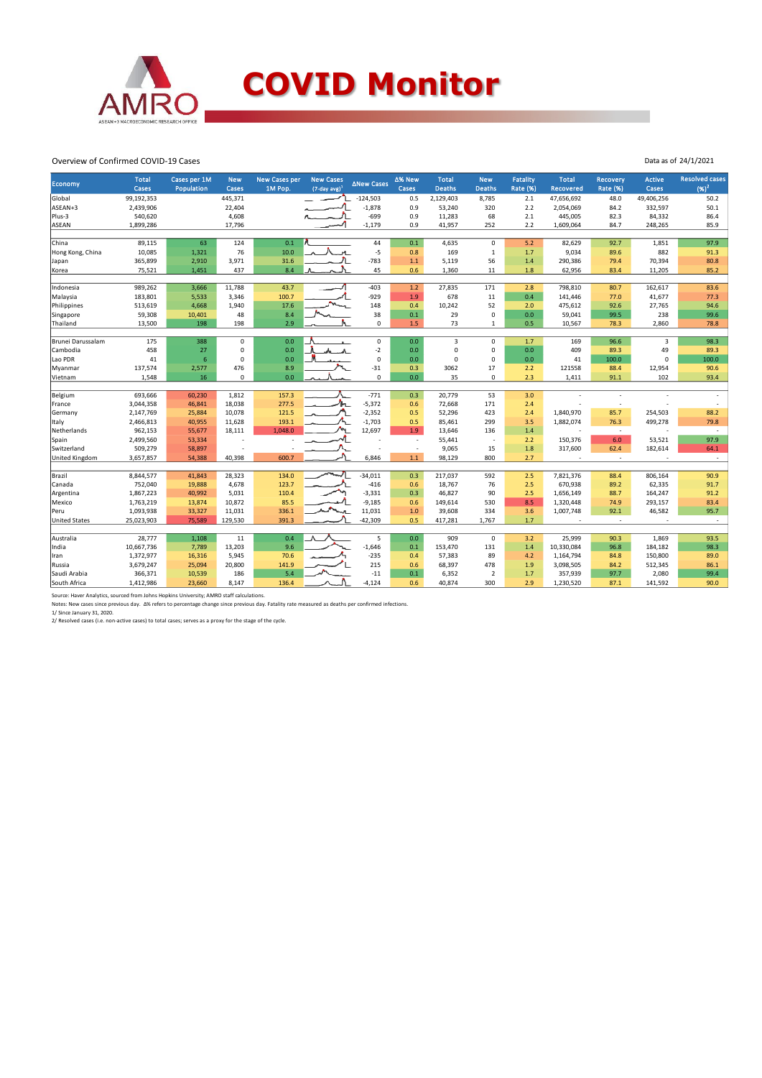

#### Overview of Confirmed COVID-19 Cases

| <b>Economy</b>       | <b>Total</b><br>Cases | Cases per 1M<br>Population | <b>New</b><br>Cases | <b>New Cases per</b><br>1M Pop. | <b>New Cases</b><br>$(7$ -day avg) <sup>1</sup> | <b>ANew Cases</b> | Δ% New<br>Cases | <b>Total</b><br><b>Deaths</b> | <b>New</b><br><b>Deaths</b> | Fatality<br><b>Rate (%)</b> | <b>Total</b><br><b>Recovered</b> | <b>Recovery</b><br><b>Rate (%)</b> | <b>Active</b><br>Cases   | <b>Resolved cases</b><br>$(96)^2$ |
|----------------------|-----------------------|----------------------------|---------------------|---------------------------------|-------------------------------------------------|-------------------|-----------------|-------------------------------|-----------------------------|-----------------------------|----------------------------------|------------------------------------|--------------------------|-----------------------------------|
| Global               | 99,192,353            |                            | 445,371             |                                 |                                                 | $-124,503$        | 0.5             | 2,129,403                     | 8,785                       | 2.1                         | 47,656,692                       | 48.0                               | 49,406,256               | 50.2                              |
| ASEAN+3              | 2,439,906             |                            | 22,404              |                                 |                                                 | $-1,878$          | 0.9             | 53,240                        | 320                         | 2.2                         | 2,054,069                        | 84.2                               | 332,597                  | 50.1                              |
| Plus-3               | 540,620               |                            | 4,608               |                                 |                                                 | $-699$            | 0.9             | 11,283                        | 68                          | 2.1                         | 445,005                          | 82.3                               | 84,332                   | 86.4                              |
| ASEAN                | 1,899,286             |                            | 17,796              |                                 |                                                 | $-1,179$          | 0.9             | 41,957                        | 252                         | 2.2                         | 1,609,064                        | 84.7                               | 248,265                  | 85.9                              |
|                      |                       |                            |                     |                                 |                                                 |                   |                 |                               |                             |                             |                                  |                                    |                          |                                   |
| China                | 89,115                | 63                         | 124                 | 0.1                             |                                                 | 44                | 0.1             | 4,635                         | $\mathbf 0$                 | 5.2                         | 82,629                           | 92.7                               | 1,851                    | 97.9                              |
| Hong Kong, China     | 10,085                | 1,321                      | 76                  | 10.0                            | H.                                              | $-5$              | 0.8             | 169                           | $\mathbf{1}$                | 1.7                         | 9,034                            | 89.6                               | 882                      | 91.3                              |
| Japan                | 365,899               | 2,910                      | 3,971               | 31.6                            |                                                 | $-783$            | $1.1$           | 5,119                         | 56                          | 1.4                         | 290,386                          | 79.4                               | 70,394                   | 80.8                              |
| Korea                | 75,521                | 1,451                      | 437                 | 8.4                             |                                                 | 45                | 0.6             | 1,360                         | 11                          | 1.8                         | 62,956                           | 83.4                               | 11,205                   | 85.2                              |
| Indonesia            | 989,262               | 3,666                      | 11,788              | 43.7                            |                                                 | $-403$            | 1.2             | 27,835                        | 171                         | 2.8                         | 798,810                          | 80.7                               | 162,617                  | 83.6                              |
| Malaysia             | 183,801               | 5,533                      | 3,346               | 100.7                           |                                                 | $-929$            | 1.9             | 678                           | 11                          | 0.4                         | 141,446                          | 77.0                               | 41,677                   | 77.3                              |
| Philippines          | 513,619               | 4,668                      | 1,940               | 17.6                            |                                                 | 148               | 0.4             | 10,242                        | 52                          | 2.0                         | 475,612                          | 92.6                               | 27,765                   | 94.6                              |
| Singapore            | 59,308                | 10,401                     | 48                  | 8.4                             |                                                 | 38                | $0.1\,$         | 29                            | $\pmb{0}$                   | 0.0                         | 59,041                           | 99.5                               | 238                      | 99.6                              |
| Thailand             | 13,500                | 198                        | 198                 | 2.9                             |                                                 | 0                 | 1.5             | 73                            | 1                           | 0.5                         | 10,567                           | 78.3                               | 2,860                    | 78.8                              |
|                      |                       |                            |                     |                                 |                                                 |                   |                 |                               |                             |                             |                                  |                                    |                          |                                   |
| Brunei Darussalam    | 175                   | 388                        | 0                   | 0.0                             |                                                 | 0                 | 0.0             | $\overline{3}$                | $\Omega$                    | 1.7                         | 169                              | 96.6                               | $\overline{3}$           | 98.3                              |
| Cambodia             | 458                   | 27                         | 0                   | 0.0                             |                                                 | $-2$              | 0.0             | $\mathbf 0$                   | $\mathsf 0$                 | 0.0                         | 409                              | 89.3                               | 49                       | 89.3                              |
| Lao PDR              | 41                    | 6                          | 0                   | 0.0                             |                                                 | 0                 | 0.0             | $\Omega$                      | $\mathbf 0$                 | 0.0                         | 41                               | 100.0                              | $\Omega$                 | 100.0                             |
| Myanmar              | 137,574               | 2,577                      | 476                 | 8.9                             |                                                 | $-31$             | 0.3             | 3062                          | 17                          | 2.2                         | 121558                           | 88.4                               | 12,954                   | 90.6                              |
| Vietnam              | 1,548                 | 16                         | 0                   | 0.0                             |                                                 | 0                 | 0.0             | 35                            | $\mathbf 0$                 | 2.3                         | 1,411                            | 91.1                               | 102                      | 93.4                              |
| Belgium              | 693,666               | 60,230                     | 1,812               | 157.3                           |                                                 | $-771$            | 0.3             | 20,779                        | 53                          | 3.0                         |                                  |                                    |                          |                                   |
| France               | 3,044,358             | 46,841                     | 18,038              | 277.5                           |                                                 | $-5,372$          | 0.6             | 72,668                        | 171                         | 2.4                         |                                  | $\overline{\phantom{a}}$           |                          | $\overline{\phantom{a}}$          |
| Germany              | 2,147,769             | 25,884                     | 10,078              | 121.5                           |                                                 | $-2,352$          | 0.5             | 52,296                        | 423                         | 2.4                         | 1,840,970                        | 85.7                               | 254,503                  | 88.2                              |
| Italy                | 2,466,813             | 40,955                     | 11,628              | 193.1                           |                                                 | $-1,703$          | 0.5             | 85,461                        | 299                         | 3.5                         | 1,882,074                        | 76.3                               | 499,278                  | 79.8                              |
| Netherlands          | 962,153               | 55,677                     | 18,111              | 1.048.0                         |                                                 | 12,697            | 1.9             | 13.646                        | 136                         | 1.4                         | ٠                                | $\overline{\phantom{a}}$           | $\overline{\phantom{a}}$ | $\overline{\phantom{a}}$          |
| Spain                | 2,499,560             | 53,334                     |                     |                                 |                                                 |                   | $\sim$          | 55,441                        | ä,                          | 2.2                         | 150,376                          | 6.0                                | 53,521                   | 97.9                              |
| Switzerland          | 509,279               | 58,897                     |                     |                                 |                                                 |                   | $\sim$          | 9,065                         | 15                          | 1.8                         | 317,600                          | 62.4                               | 182,614                  | 64.1                              |
| United Kingdom       | 3,657,857             | 54,388                     | 40,398              | 600.7                           |                                                 | 6,846             | 1.1             | 98,129                        | 800                         | 2.7                         | ٠                                | $\sim$                             |                          | $\sim$                            |
|                      |                       |                            |                     |                                 |                                                 |                   |                 |                               |                             |                             |                                  |                                    |                          |                                   |
| Brazil               | 8,844,577             | 41,843                     | 28,323              | 134.0                           |                                                 | $-34,011$         | 0.3             | 217,037                       | 592                         | 2.5                         | 7,821,376                        | 88.4                               | 806,164                  | 90.9                              |
| lCanada              | 752,040               | 19,888                     | 4,678               | 123.7                           |                                                 | $-416$            | 0.6             | 18,767                        | 76                          | 2.5                         | 670,938                          | 89.2                               | 62,335                   | 91.7                              |
| Argentina            | 1,867,223             | 40,992                     | 5,031               | 110.4                           |                                                 | $-3,331$          | 0.3             | 46,827                        | 90                          | 2.5                         | 1,656,149                        | 88.7                               | 164,247                  | 91.2                              |
| Mexico               | 1,763,219             | 13,874                     | 10,872              | 85.5                            |                                                 | $-9,185$          | 0.6             | 149,614                       | 530                         | 8.5                         | 1,320,448                        | 74.9                               | 293,157                  | 83.4                              |
| Peru                 | 1,093,938             | 33,327                     | 11,031              | 336.1                           |                                                 | 11,031            | $1.0\,$         | 39,608                        | 334                         | 3.6                         | 1,007,748                        | 92.1                               | 46,582                   | 95.7                              |
| <b>United States</b> | 25,023,903            | 75,589                     | 129,530             | 391.3                           |                                                 | $-42,309$         | 0.5             | 417,281                       | 1,767                       | 1.7                         | ٠.                               | ÷                                  |                          | $\sim$                            |
|                      |                       |                            |                     |                                 |                                                 |                   |                 |                               |                             |                             |                                  |                                    |                          |                                   |
| Australia            | 28,777                | 1,108                      | 11                  | 0.4                             |                                                 | 5                 | 0.0             | 909                           | $\mathbf 0$                 | 3.2                         | 25,999                           | 90.3                               | 1,869                    | 93.5                              |
| India                | 10,667,736            | 7,789                      | 13,203              | 9.6                             |                                                 | $-1,646$          | 0.1             | 153,470                       | 131                         | 1.4                         | 10,330,084                       | 96.8                               | 184,182                  | 98.3                              |
| Iran                 | 1,372,977             | 16,316                     | 5,945               | 70.6                            |                                                 | $-235$            | 0.4             | 57,383                        | 89                          | 4.2                         | 1,164,794                        | 84.8                               | 150,800                  | 89.0                              |
| Russia               | 3,679,247             | 25,094                     | 20,800              | 141.9                           |                                                 | 215               | 0.6             | 68,397                        | 478                         | 1.9                         | 3,098,505                        | 84.2                               | 512,345                  | 86.1                              |
| Saudi Arabia         | 366,371               | 10,539                     | 186                 | 5.4                             |                                                 | $-11$             | 0.1             | 6,352                         | $\overline{2}$              | 1.7                         | 357,939                          | 97.7                               | 2,080                    | 99.4                              |
| South Africa         | 1,412,986             | 23,660                     | 8,147               | 136.4                           |                                                 | $-4,124$          | 0.6             | 40,874                        | 300                         | 2.9                         | 1,230,520                        | 87.1                               | 141,592                  | 90.0                              |

Data as of 24/1/2021

Source: Haver Analytics, sourced from Johns Hopkins University; AMRO staff calculations.<br>Notes: New cases since previous day. Δ% refers to percentage change since previous day. Fatality rate measured as deaths per confirm